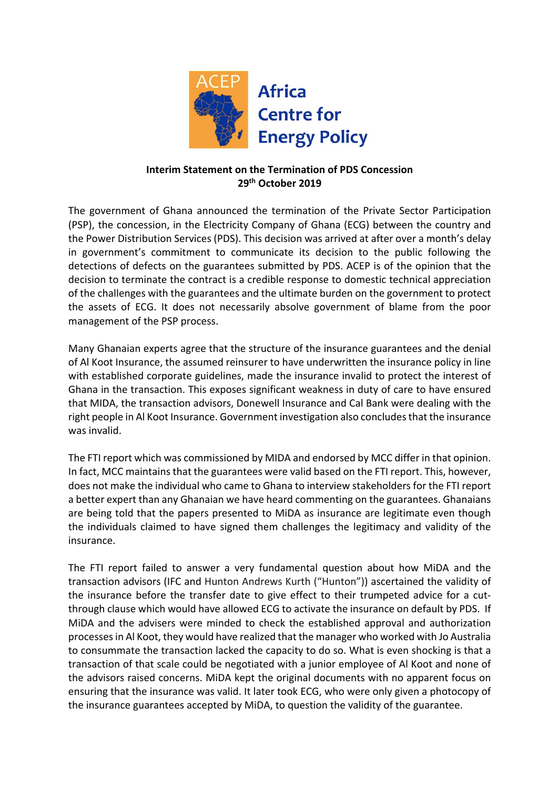

# **Interim Statement on the Termination of PDS Concession 29th October 2019**

The government of Ghana announced the termination of the Private Sector Participation (PSP), the concession, in the Electricity Company of Ghana (ECG) between the country and the Power Distribution Services (PDS). This decision was arrived at after over a month's delay in government's commitment to communicate its decision to the public following the detections of defects on the guarantees submitted by PDS. ACEP is of the opinion that the decision to terminate the contract is a credible response to domestic technical appreciation of the challenges with the guarantees and the ultimate burden on the government to protect the assets of ECG. It does not necessarily absolve government of blame from the poor management of the PSP process.

Many Ghanaian experts agree that the structure of the insurance guarantees and the denial of Al Koot Insurance, the assumed reinsurer to have underwritten the insurance policy in line with established corporate guidelines, made the insurance invalid to protect the interest of Ghana in the transaction. This exposes significant weakness in duty of care to have ensured that MIDA, the transaction advisors, Donewell Insurance and Cal Bank were dealing with the right people in Al Koot Insurance. Government investigation also concludes that the insurance was invalid.

The FTI report which was commissioned by MIDA and endorsed by MCC differ in that opinion. In fact, MCC maintains that the guarantees were valid based on the FTI report. This, however, does not make the individual who came to Ghana to interview stakeholders for the FTI report a better expert than any Ghanaian we have heard commenting on the guarantees. Ghanaians are being told that the papers presented to MiDA as insurance are legitimate even though the individuals claimed to have signed them challenges the legitimacy and validity of the insurance.

The FTI report failed to answer a very fundamental question about how MiDA and the transaction advisors (IFC and Hunton Andrews Kurth ("Hunton")) ascertained the validity of the insurance before the transfer date to give effect to their trumpeted advice for a cutthrough clause which would have allowed ECG to activate the insurance on default by PDS. If MiDA and the advisers were minded to check the established approval and authorization processes in Al Koot, they would have realized that the manager who worked with Jo Australia to consummate the transaction lacked the capacity to do so. What is even shocking is that a transaction of that scale could be negotiated with a junior employee of Al Koot and none of the advisors raised concerns. MiDA kept the original documents with no apparent focus on ensuring that the insurance was valid. It later took ECG, who were only given a photocopy of the insurance guarantees accepted by MiDA, to question the validity of the guarantee.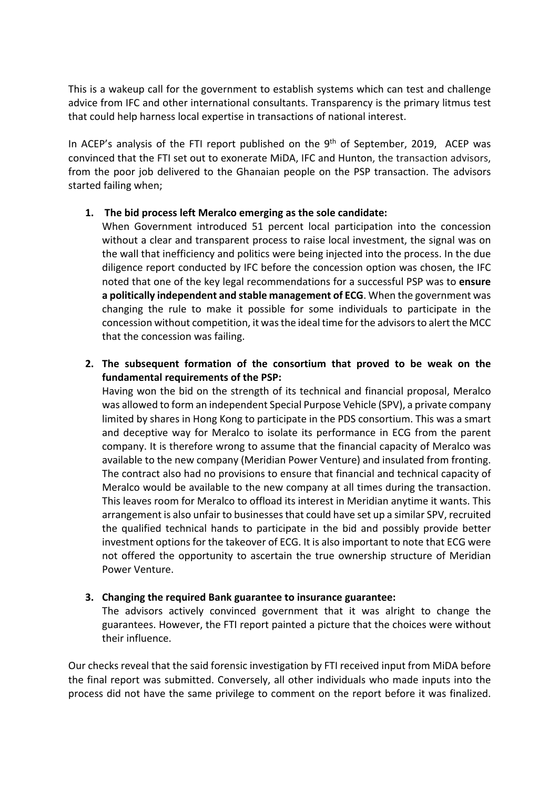This is a wakeup call for the government to establish systems which can test and challenge advice from IFC and other international consultants. Transparency is the primary litmus test that could help harness local expertise in transactions of national interest.

In ACEP's analysis of the FTI report published on the  $9<sup>th</sup>$  of September, 2019, ACEP was convinced that the FTI set out to exonerate MiDA, IFC and Hunton, the transaction advisors, from the poor job delivered to the Ghanaian people on the PSP transaction. The advisors started failing when;

## **1. The bid process left Meralco emerging as the sole candidate:**

When Government introduced 51 percent local participation into the concession without a clear and transparent process to raise local investment, the signal was on the wall that inefficiency and politics were being injected into the process. In the due diligence report conducted by IFC before the concession option was chosen, the IFC noted that one of the key legal recommendations for a successful PSP was to **ensure a politically independent and stable management of ECG**. When the government was changing the rule to make it possible for some individuals to participate in the concession without competition, it was the ideal time for the advisors to alert the MCC that the concession was failing.

**2. The subsequent formation of the consortium that proved to be weak on the fundamental requirements of the PSP:**

Having won the bid on the strength of its technical and financial proposal, Meralco was allowed to form an independent Special Purpose Vehicle (SPV), a private company limited by shares in Hong Kong to participate in the PDS consortium. This was a smart and deceptive way for Meralco to isolate its performance in ECG from the parent company. It is therefore wrong to assume that the financial capacity of Meralco was available to the new company (Meridian Power Venture) and insulated from fronting. The contract also had no provisions to ensure that financial and technical capacity of Meralco would be available to the new company at all times during the transaction. This leaves room for Meralco to offload its interest in Meridian anytime it wants. This arrangement is also unfair to businessesthat could have set up a similar SPV, recruited the qualified technical hands to participate in the bid and possibly provide better investment options for the takeover of ECG. It is also important to note that ECG were not offered the opportunity to ascertain the true ownership structure of Meridian Power Venture.

## **3. Changing the required Bank guarantee to insurance guarantee:**

The advisors actively convinced government that it was alright to change the guarantees. However, the FTI report painted a picture that the choices were without their influence.

Our checks reveal that the said forensic investigation by FTI received input from MiDA before the final report was submitted. Conversely, all other individuals who made inputs into the process did not have the same privilege to comment on the report before it was finalized.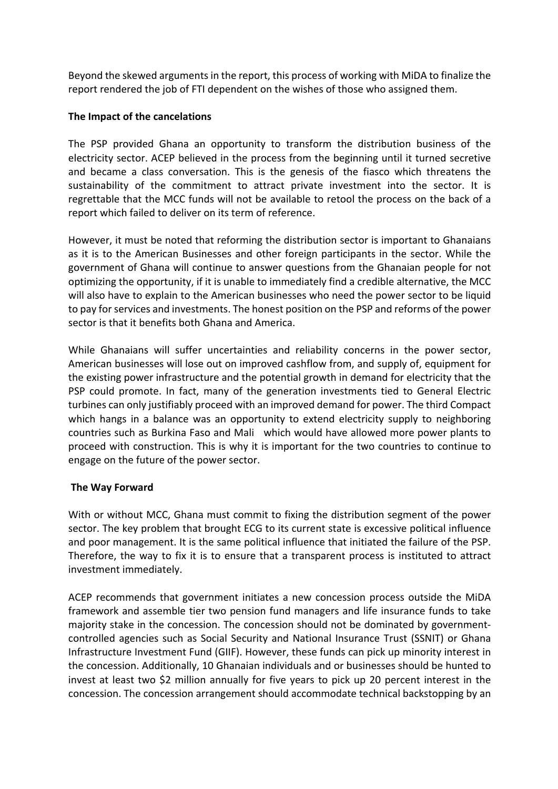Beyond the skewed arguments in the report, this process of working with MiDA to finalize the report rendered the job of FTI dependent on the wishes of those who assigned them.

### **The Impact of the cancelations**

The PSP provided Ghana an opportunity to transform the distribution business of the electricity sector. ACEP believed in the process from the beginning until it turned secretive and became a class conversation. This is the genesis of the fiasco which threatens the sustainability of the commitment to attract private investment into the sector. It is regrettable that the MCC funds will not be available to retool the process on the back of a report which failed to deliver on its term of reference.

However, it must be noted that reforming the distribution sector is important to Ghanaians as it is to the American Businesses and other foreign participants in the sector. While the government of Ghana will continue to answer questions from the Ghanaian people for not optimizing the opportunity, if it is unable to immediately find a credible alternative, the MCC will also have to explain to the American businesses who need the power sector to be liquid to pay for services and investments. The honest position on the PSP and reforms of the power sector is that it benefits both Ghana and America.

While Ghanaians will suffer uncertainties and reliability concerns in the power sector, American businesses will lose out on improved cashflow from, and supply of, equipment for the existing power infrastructure and the potential growth in demand for electricity that the PSP could promote. In fact, many of the generation investments tied to General Electric turbines can only justifiably proceed with an improved demand for power. The third Compact which hangs in a balance was an opportunity to extend electricity supply to neighboring countries such as Burkina Faso and Mali which would have allowed more power plants to proceed with construction. This is why it is important for the two countries to continue to engage on the future of the power sector.

## **The Way Forward**

With or without MCC, Ghana must commit to fixing the distribution segment of the power sector. The key problem that brought ECG to its current state is excessive political influence and poor management. It is the same political influence that initiated the failure of the PSP. Therefore, the way to fix it is to ensure that a transparent process is instituted to attract investment immediately.

ACEP recommends that government initiates a new concession process outside the MiDA framework and assemble tier two pension fund managers and life insurance funds to take majority stake in the concession. The concession should not be dominated by governmentcontrolled agencies such as Social Security and National Insurance Trust (SSNIT) or Ghana Infrastructure Investment Fund (GIIF). However, these funds can pick up minority interest in the concession. Additionally, 10 Ghanaian individuals and or businesses should be hunted to invest at least two \$2 million annually for five years to pick up 20 percent interest in the concession. The concession arrangement should accommodate technical backstopping by an